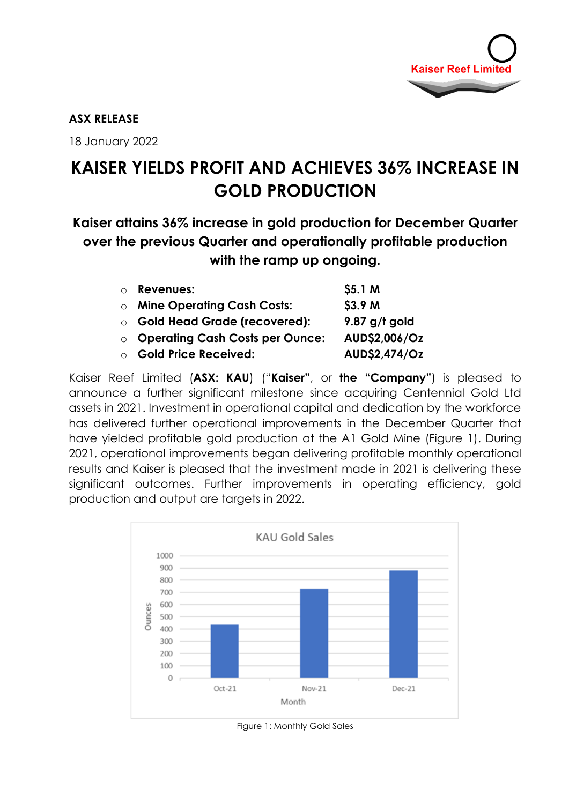

## **ASX RELEASE**

18 January 2022

# **KAISER YIELDS PROFIT AND ACHIEVES 36% INCREASE IN GOLD PRODUCTION**

**Kaiser attains 36% increase in gold production for December Quarter over the previous Quarter and operationally profitable production with the ramp up ongoing.**

| o Revenues:                              | \$5.1 M         |
|------------------------------------------|-----------------|
| <b>O</b> Mine Operating Cash Costs:      | \$3.9 M         |
| <b>O</b> Gold Head Grade (recovered):    | $9.87$ g/t gold |
| <b>O Operating Cash Costs per Ounce:</b> | AUD\$2,006/Oz   |
| ○ Gold Price Received:                   | AUD\$2,474/Oz   |

Kaiser Reef Limited (**ASX: KAU**) ("**Kaiser"**, or **the "Company"**) is pleased to announce a further significant milestone since acquiring Centennial Gold Ltd assets in 2021. Investment in operational capital and dedication by the workforce has delivered further operational improvements in the December Quarter that have yielded profitable gold production at the A1 Gold Mine (Figure 1). During 2021, operational improvements began delivering profitable monthly operational results and Kaiser is pleased that the investment made in 2021 is delivering these significant outcomes. Further improvements in operating efficiency, gold production and output are targets in 2022.



Figure 1: Monthly Gold Sales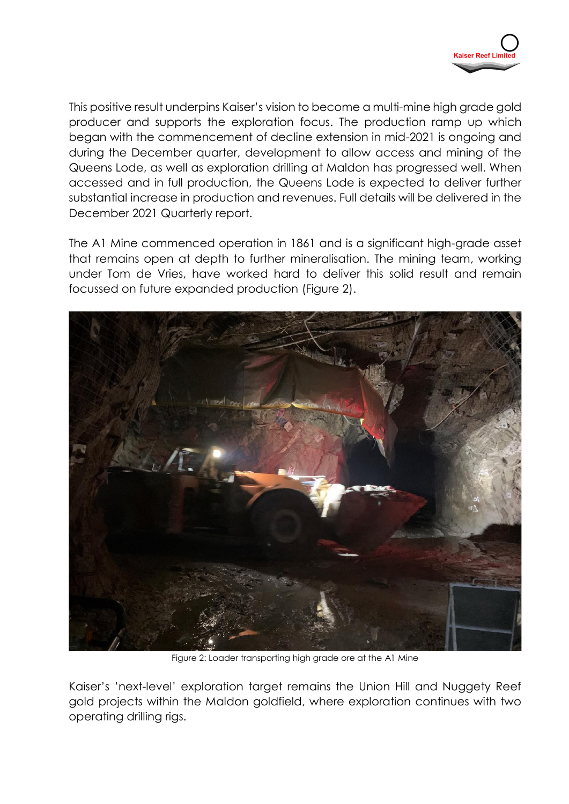

This positive result underpins Kaiser's vision to become a multi-mine high grade gold producer and supports the exploration focus. The production ramp up which began with the commencement of decline extension in mid-2021 is ongoing and during the December quarter, development to allow access and mining of the Queens Lode, as well as exploration drilling at Maldon has progressed well. When accessed and in full production, the Queens Lode is expected to deliver further substantial increase in production and revenues. Full details will be delivered in the December 2021 Quarterly report.

The A1 Mine commenced operation in 1861 and is a significant high-grade asset that remains open at depth to further mineralisation. The mining team, working under Tom de Vries, have worked hard to deliver this solid result and remain focussed on future expanded production (Figure 2).



Figure 2: Loader transporting high grade ore at the A1 Mine

Kaiser's 'next-level' exploration target remains the Union Hill and Nuggety Reef gold projects within the Maldon goldfield, where exploration continues with two operating drilling rigs.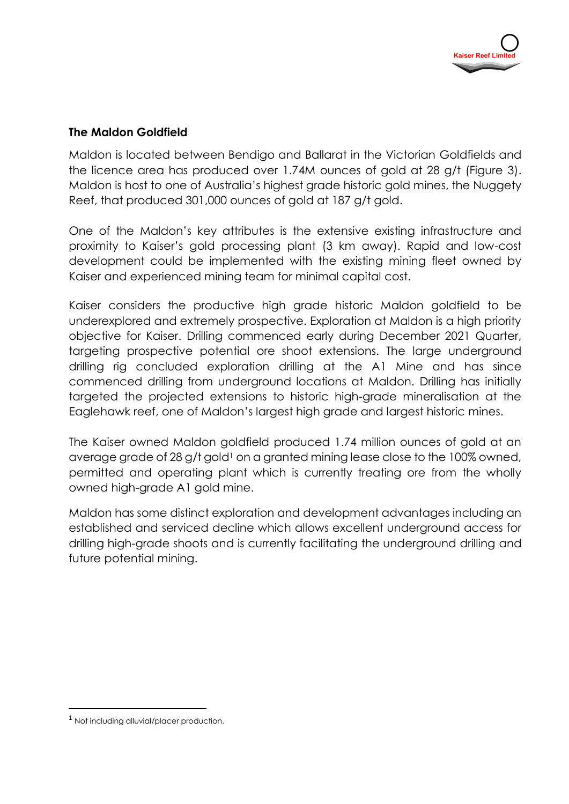## **The Maldon Goldfield**

Maldon is located between Bendigo and Ballarat in the Victorian Goldfields and the licence area has produced over 1.74M ounces of gold at 28 g/t (Figure 3). Maldon is host to one of Australia's highest grade historic gold mines, the Nuggety Reef, that produced 301,000 ounces of gold at 187 g/t gold.

One of the Maldon's key attributes is the extensive existing infrastructure and proximity to Kaiser's gold processing plant (3 km away). Rapid and low-cost development could be implemented with the existing mining fleet owned by Kaiser and experienced mining team for minimal capital cost.

Kaiser considers the productive high grade historic Maldon goldfield to be underexplored and extremely prospective. Exploration at Maldon is a high priority objective for Kaiser. Drilling commenced early during December 2021 Quarter, targeting prospective potential ore shoot extensions. The large underground drilling rig concluded exploration drilling at the A1 Mine and has since commenced drilling from underground locations at Maldon. Drilling has initially targeted the projected extensions to historic high-grade mineralisation at the Eaglehawk reef, one of Maldon's largest high grade and largest historic mines.

The Kaiser owned Maldon goldfield produced 1.74 million ounces of gold at an average grade of 28 g/t gold<sup>1</sup> on a granted mining lease close to the 100% owned, permitted and operating plant which is currently treating ore from the wholly owned high-grade A1 gold mine.

Maldon has some distinct exploration and development advantages including an established and serviced decline which allows excellent underground access for drilling high-grade shoots and is currently facilitating the underground drilling and future potential mining.

 $\overline{a}$ 

<sup>1</sup> Not including alluvial/placer production.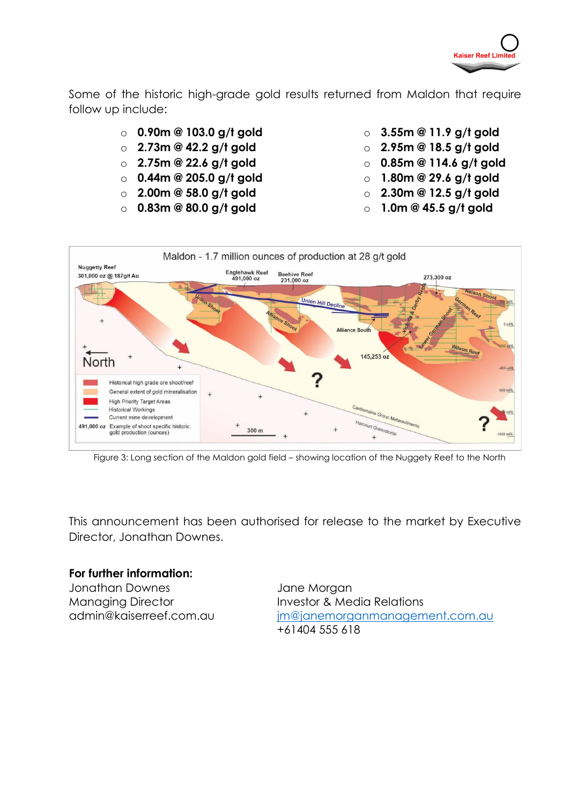

Some of the historic high-grade gold results returned from Maldon that require follow up include:

- o **0.90m @ 103.0 g/t gold**
- o **2.73m @ 42.2 g/t gold**
- o **2.75m @ 22.6 g/t gold**
- o **0.44m @ 205.0 g/t gold**
- o **2.00m @ 58.0 g/t gold**
- o **0.83m @ 80.0 g/t gold**
- o **3.55m @ 11.9 g/t gold**
- o **2.95m @ 18.5 g/t gold**
- o **0.85m @ 114.6 g/t gold**
- o **1.80m @ 29.6 g/t gold**
- o **2.30m @ 12.5 g/t gold**
- o **1.0m @ 45.5 g/t gold**



Figure 3: Long section of the Maldon gold field – showing location of the Nuggety Reef to the North

This announcement has been authorised for release to the market by Executive Director, Jonathan Downes.

## **For further information:**

Jonathan Downes Managing Director admin@kaiserreef.com.au Jane Morgan Investor & Media Relations [jm@janemorganmanagement.com.au](mailto:jm@janemorganmanagement.com.au) +61404 555 618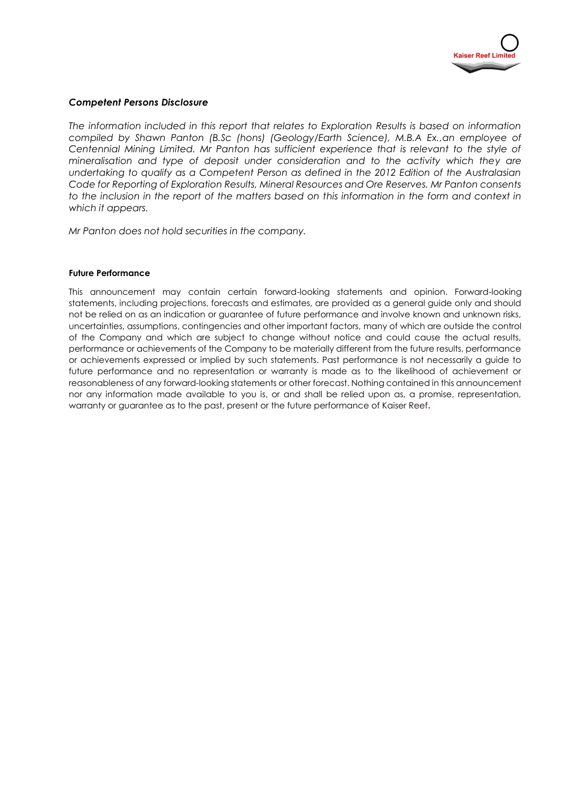

#### *Competent Persons Disclosure*

*The information included in this report that relates to Exploration Results is based on information compiled by Shawn Panton (B.Sc (hons) (Geology/Earth Science), M.B.A Ex.,an employee of Centennial Mining Limited. Mr Panton has sufficient experience that is relevant to the style of mineralisation and type of deposit under consideration and to the activity which they are undertaking to qualify as a Competent Person as defined in the 2012 Edition of the Australasian Code for Reporting of Exploration Results, Mineral Resources and Ore Reserves. Mr Panton consents to the inclusion in the report of the matters based on this information in the form and context in which it appears.*

*Mr Panton does not hold securities in the company.*

#### **Future Performance**

This announcement may contain certain forward-looking statements and opinion. Forward-looking statements, including projections, forecasts and estimates, are provided as a general guide only and should not be relied on as an indication or guarantee of future performance and involve known and unknown risks, uncertainties, assumptions, contingencies and other important factors, many of which are outside the control of the Company and which are subject to change without notice and could cause the actual results, performance or achievements of the Company to be materially different from the future results, performance or achievements expressed or implied by such statements. Past performance is not necessarily a guide to future performance and no representation or warranty is made as to the likelihood of achievement or reasonableness of any forward-looking statements or other forecast. Nothing contained in this announcement nor any information made available to you is, or and shall be relied upon as, a promise, representation, warranty or guarantee as to the past, present or the future performance of Kaiser Reef**.**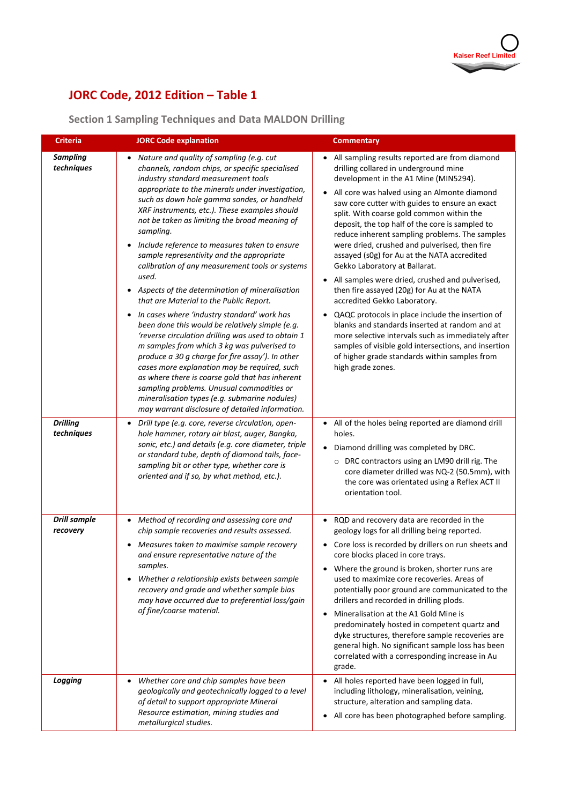## **JORC Code, 2012 Edition – Table 1**

## **Section 1 Sampling Techniques and Data MALDON Drilling**

| <b>Criteria</b>                 | <b>JORC Code explanation</b>                                                                                                                                                                                                                                                                                                                                                                                                                                                                                                                                                                                                                                                                                                                                                                                                                                                                                                                                                                                                                                                                                               | <b>Commentary</b>                                                                                                                                                                                                                                                                                                                                                                                                                                                                                                                                                                                                                                                                                                                                                                                                                                                                                                                                |
|---------------------------------|----------------------------------------------------------------------------------------------------------------------------------------------------------------------------------------------------------------------------------------------------------------------------------------------------------------------------------------------------------------------------------------------------------------------------------------------------------------------------------------------------------------------------------------------------------------------------------------------------------------------------------------------------------------------------------------------------------------------------------------------------------------------------------------------------------------------------------------------------------------------------------------------------------------------------------------------------------------------------------------------------------------------------------------------------------------------------------------------------------------------------|--------------------------------------------------------------------------------------------------------------------------------------------------------------------------------------------------------------------------------------------------------------------------------------------------------------------------------------------------------------------------------------------------------------------------------------------------------------------------------------------------------------------------------------------------------------------------------------------------------------------------------------------------------------------------------------------------------------------------------------------------------------------------------------------------------------------------------------------------------------------------------------------------------------------------------------------------|
| <b>Sampling</b><br>techniques   | Nature and quality of sampling (e.g. cut<br>channels, random chips, or specific specialised<br>industry standard measurement tools<br>appropriate to the minerals under investigation,<br>such as down hole gamma sondes, or handheld<br>XRF instruments, etc.). These examples should<br>not be taken as limiting the broad meaning of<br>sampling.<br>Include reference to measures taken to ensure<br>sample representivity and the appropriate<br>calibration of any measurement tools or systems<br>used.<br>Aspects of the determination of mineralisation<br>that are Material to the Public Report.<br>In cases where 'industry standard' work has<br>been done this would be relatively simple (e.g.<br>'reverse circulation drilling was used to obtain 1<br>m samples from which 3 kg was pulverised to<br>produce a 30 g charge for fire assay'). In other<br>cases more explanation may be required, such<br>as where there is coarse gold that has inherent<br>sampling problems. Unusual commodities or<br>mineralisation types (e.g. submarine nodules)<br>may warrant disclosure of detailed information. | All sampling results reported are from diamond<br>drilling collared in underground mine<br>development in the A1 Mine (MIN5294).<br>All core was halved using an Almonte diamond<br>saw core cutter with guides to ensure an exact<br>split. With coarse gold common within the<br>deposit, the top half of the core is sampled to<br>reduce inherent sampling problems. The samples<br>were dried, crushed and pulverised, then fire<br>assayed (s0g) for Au at the NATA accredited<br>Gekko Laboratory at Ballarat.<br>All samples were dried, crushed and pulverised,<br>then fire assayed (20g) for Au at the NATA<br>accredited Gekko Laboratory.<br>QAQC protocols in place include the insertion of<br>blanks and standards inserted at random and at<br>more selective intervals such as immediately after<br>samples of visible gold intersections, and insertion<br>of higher grade standards within samples from<br>high grade zones. |
| <b>Drilling</b><br>techniques   | Drill type (e.g. core, reverse circulation, open-<br>hole hammer, rotary air blast, auger, Bangka,<br>sonic, etc.) and details (e.g. core diameter, triple<br>or standard tube, depth of diamond tails, face-<br>sampling bit or other type, whether core is<br>oriented and if so, by what method, etc.).                                                                                                                                                                                                                                                                                                                                                                                                                                                                                                                                                                                                                                                                                                                                                                                                                 | All of the holes being reported are diamond drill<br>holes.<br>Diamond drilling was completed by DRC.<br>O DRC contractors using an LM90 drill rig. The<br>core diameter drilled was NQ-2 (50.5mm), with<br>the core was orientated using a Reflex ACT II<br>orientation tool.                                                                                                                                                                                                                                                                                                                                                                                                                                                                                                                                                                                                                                                                   |
| <b>Drill sample</b><br>recovery | Method of recording and assessing core and<br>chip sample recoveries and results assessed.<br>Measures taken to maximise sample recovery<br>and ensure representative nature of the<br>samples.<br>Whether a relationship exists between sample<br>recovery and grade and whether sample bias<br>may have occurred due to preferential loss/gain<br>of fine/coarse material.                                                                                                                                                                                                                                                                                                                                                                                                                                                                                                                                                                                                                                                                                                                                               | RQD and recovery data are recorded in the<br>geology logs for all drilling being reported.<br>Core loss is recorded by drillers on run sheets and<br>core blocks placed in core trays.<br>Where the ground is broken, shorter runs are<br>used to maximize core recoveries. Areas of<br>potentially poor ground are communicated to the<br>drillers and recorded in drilling plods.<br>Mineralisation at the A1 Gold Mine is<br>$\bullet$<br>predominately hosted in competent quartz and<br>dyke structures, therefore sample recoveries are<br>general high. No significant sample loss has been<br>correlated with a corresponding increase in Au<br>grade.                                                                                                                                                                                                                                                                                   |
| Logging                         | Whether core and chip samples have been<br>geologically and geotechnically logged to a level<br>of detail to support appropriate Mineral<br>Resource estimation, mining studies and<br>metallurgical studies.                                                                                                                                                                                                                                                                                                                                                                                                                                                                                                                                                                                                                                                                                                                                                                                                                                                                                                              | All holes reported have been logged in full,<br>including lithology, mineralisation, veining,<br>structure, alteration and sampling data.<br>All core has been photographed before sampling.                                                                                                                                                                                                                                                                                                                                                                                                                                                                                                                                                                                                                                                                                                                                                     |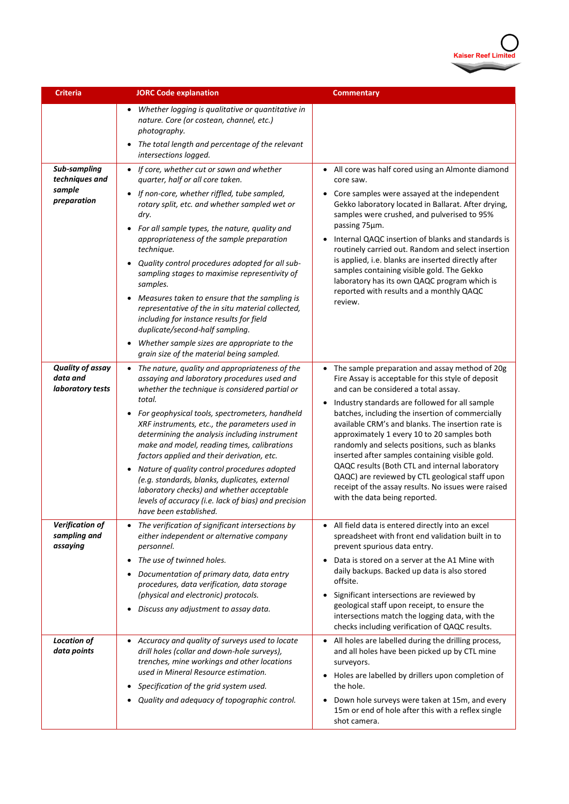

| Criteria                                                | <b>JORC Code explanation</b>                                                                                                                                                                                                                                                                                                                                                                                                                                                                                                                                                                                                                                                                        | <b>Commentary</b>                                                                                                                                                                                                                                                                                                                                                                                                                                                                                                                                                                                                                                                                  |
|---------------------------------------------------------|-----------------------------------------------------------------------------------------------------------------------------------------------------------------------------------------------------------------------------------------------------------------------------------------------------------------------------------------------------------------------------------------------------------------------------------------------------------------------------------------------------------------------------------------------------------------------------------------------------------------------------------------------------------------------------------------------------|------------------------------------------------------------------------------------------------------------------------------------------------------------------------------------------------------------------------------------------------------------------------------------------------------------------------------------------------------------------------------------------------------------------------------------------------------------------------------------------------------------------------------------------------------------------------------------------------------------------------------------------------------------------------------------|
|                                                         | Whether logging is qualitative or quantitative in<br>nature. Core (or costean, channel, etc.)<br>photography.<br>The total length and percentage of the relevant<br>intersections logged.                                                                                                                                                                                                                                                                                                                                                                                                                                                                                                           |                                                                                                                                                                                                                                                                                                                                                                                                                                                                                                                                                                                                                                                                                    |
| Sub-sampling<br>techniques and<br>sample<br>preparation | • If core, whether cut or sawn and whether<br>quarter, half or all core taken.<br>If non-core, whether riffled, tube sampled,<br>rotary split, etc. and whether sampled wet or<br>dry.<br>For all sample types, the nature, quality and<br>appropriateness of the sample preparation<br>technique.<br>Quality control procedures adopted for all sub-<br>sampling stages to maximise representivity of<br>samples.<br>Measures taken to ensure that the sampling is<br>representative of the in situ material collected,<br>including for instance results for field<br>duplicate/second-half sampling.<br>Whether sample sizes are appropriate to the<br>grain size of the material being sampled. | All core was half cored using an Almonte diamond<br>core saw.<br>Core samples were assayed at the independent<br>Gekko laboratory located in Ballarat. After drying,<br>samples were crushed, and pulverised to 95%<br>passing 75µm.<br>Internal QAQC insertion of blanks and standards is<br>$\bullet$<br>routinely carried out. Random and select insertion<br>is applied, i.e. blanks are inserted directly after<br>samples containing visible gold. The Gekko<br>laboratory has its own QAQC program which is<br>reported with results and a monthly QAQC<br>review.                                                                                                          |
| <b>Quality of assay</b><br>data and<br>laboratory tests | The nature, quality and appropriateness of the<br>assaying and laboratory procedures used and<br>whether the technique is considered partial or<br>total.<br>For geophysical tools, spectrometers, handheld<br>XRF instruments, etc., the parameters used in<br>determining the analysis including instrument<br>make and model, reading times, calibrations<br>factors applied and their derivation, etc.<br>Nature of quality control procedures adopted<br>(e.g. standards, blanks, duplicates, external<br>laboratory checks) and whether acceptable<br>levels of accuracy (i.e. lack of bias) and precision<br>have been established.                                                          | The sample preparation and assay method of 20g<br>$\bullet$<br>Fire Assay is acceptable for this style of deposit<br>and can be considered a total assay.<br>Industry standards are followed for all sample<br>$\bullet$<br>batches, including the insertion of commercially<br>available CRM's and blanks. The insertion rate is<br>approximately 1 every 10 to 20 samples both<br>randomly and selects positions, such as blanks<br>inserted after samples containing visible gold.<br>QAQC results (Both CTL and internal laboratory<br>QAQC) are reviewed by CTL geological staff upon<br>receipt of the assay results. No issues were raised<br>with the data being reported. |
| Verification of<br>sampling and<br>assaying             | The verification of significant intersections by<br>either independent or alternative company<br>personnel.<br>The use of twinned holes.<br>Documentation of primary data, data entry<br>procedures, data verification, data storage<br>(physical and electronic) protocols.<br>Discuss any adjustment to assay data.<br>$\bullet$                                                                                                                                                                                                                                                                                                                                                                  | All field data is entered directly into an excel<br>$\bullet$<br>spreadsheet with front end validation built in to<br>prevent spurious data entry.<br>Data is stored on a server at the A1 Mine with<br>daily backups. Backed up data is also stored<br>offsite.<br>Significant intersections are reviewed by<br>geological staff upon receipt, to ensure the<br>intersections match the logging data, with the<br>checks including verification of QAQC results.                                                                                                                                                                                                                  |
| <b>Location of</b><br>data points                       | Accuracy and quality of surveys used to locate<br>drill holes (collar and down-hole surveys),<br>trenches, mine workings and other locations<br>used in Mineral Resource estimation.<br>Specification of the grid system used.<br>Quality and adequacy of topographic control.                                                                                                                                                                                                                                                                                                                                                                                                                      | All holes are labelled during the drilling process,<br>$\bullet$<br>and all holes have been picked up by CTL mine<br>surveyors.<br>Holes are labelled by drillers upon completion of<br>$\bullet$<br>the hole.<br>Down hole surveys were taken at 15m, and every<br>٠<br>15m or end of hole after this with a reflex single<br>shot camera.                                                                                                                                                                                                                                                                                                                                        |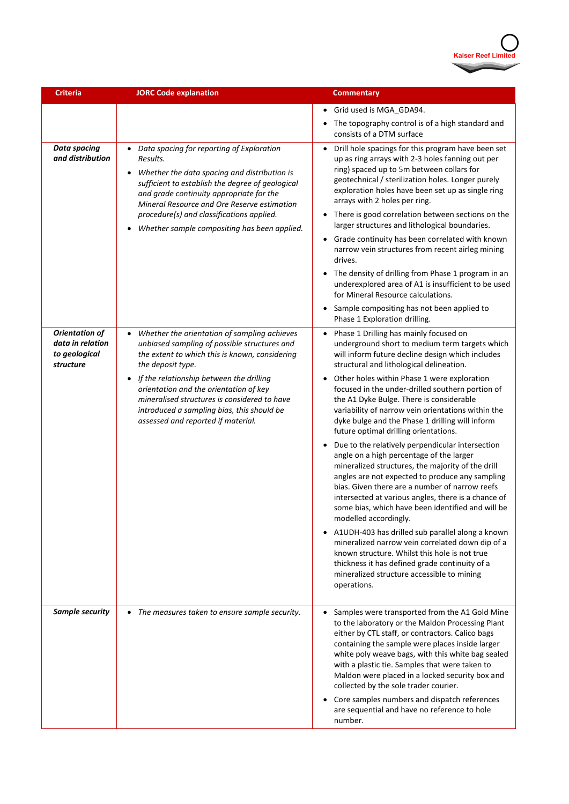

| <b>Criteria</b>                                                         | <b>JORC Code explanation</b>                                                                                                                                                                                                                                                                                                                                   | <b>Commentary</b>                                                                                                                                                                                                                                                                                                                                                                                                                                                                                                                                                                                                                                                                                                                                                                   |
|-------------------------------------------------------------------------|----------------------------------------------------------------------------------------------------------------------------------------------------------------------------------------------------------------------------------------------------------------------------------------------------------------------------------------------------------------|-------------------------------------------------------------------------------------------------------------------------------------------------------------------------------------------------------------------------------------------------------------------------------------------------------------------------------------------------------------------------------------------------------------------------------------------------------------------------------------------------------------------------------------------------------------------------------------------------------------------------------------------------------------------------------------------------------------------------------------------------------------------------------------|
|                                                                         |                                                                                                                                                                                                                                                                                                                                                                | Grid used is MGA_GDA94.<br>$\bullet$                                                                                                                                                                                                                                                                                                                                                                                                                                                                                                                                                                                                                                                                                                                                                |
|                                                                         |                                                                                                                                                                                                                                                                                                                                                                | The topography control is of a high standard and<br>$\bullet$<br>consists of a DTM surface                                                                                                                                                                                                                                                                                                                                                                                                                                                                                                                                                                                                                                                                                          |
| <b>Data spacing</b><br>and distribution                                 | Data spacing for reporting of Exploration<br>Results.<br>Whether the data spacing and distribution is<br>$\bullet$<br>sufficient to establish the degree of geological<br>and grade continuity appropriate for the<br>Mineral Resource and Ore Reserve estimation<br>procedure(s) and classifications applied.<br>Whether sample compositing has been applied. | Drill hole spacings for this program have been set<br>$\bullet$<br>up as ring arrays with 2-3 holes fanning out per<br>ring) spaced up to 5m between collars for<br>geotechnical / sterilization holes. Longer purely<br>exploration holes have been set up as single ring<br>arrays with 2 holes per ring.<br>There is good correlation between sections on the<br>$\bullet$<br>larger structures and lithological boundaries.<br>Grade continuity has been correlated with known<br>narrow vein structures from recent airleg mining<br>drives.<br>The density of drilling from Phase 1 program in an<br>underexplored area of A1 is insufficient to be used<br>for Mineral Resource calculations.<br>Sample compositing has not been applied to<br>Phase 1 Exploration drilling. |
| <b>Orientation of</b><br>data in relation<br>to geological<br>structure | Whether the orientation of sampling achieves<br>unbiased sampling of possible structures and<br>the extent to which this is known, considering<br>the deposit type.<br>If the relationship between the drilling                                                                                                                                                | Phase 1 Drilling has mainly focused on<br>$\bullet$<br>underground short to medium term targets which<br>will inform future decline design which includes<br>structural and lithological delineation.<br>Other holes within Phase 1 were exploration<br>$\bullet$                                                                                                                                                                                                                                                                                                                                                                                                                                                                                                                   |
|                                                                         | orientation and the orientation of key<br>mineralised structures is considered to have<br>introduced a sampling bias, this should be<br>assessed and reported if material.                                                                                                                                                                                     | focused in the under-drilled southern portion of<br>the A1 Dyke Bulge. There is considerable<br>variability of narrow vein orientations within the<br>dyke bulge and the Phase 1 drilling will inform<br>future optimal drilling orientations.                                                                                                                                                                                                                                                                                                                                                                                                                                                                                                                                      |
|                                                                         |                                                                                                                                                                                                                                                                                                                                                                | Due to the relatively perpendicular intersection<br>$\bullet$<br>angle on a high percentage of the larger<br>mineralized structures, the majority of the drill<br>angles are not expected to produce any sampling<br>bias. Given there are a number of narrow reefs<br>intersected at various angles, there is a chance of<br>some bias, which have been identified and will be<br>modelled accordingly.                                                                                                                                                                                                                                                                                                                                                                            |
|                                                                         |                                                                                                                                                                                                                                                                                                                                                                | A1UDH-403 has drilled sub parallel along a known<br>$\bullet$<br>mineralized narrow vein correlated down dip of a<br>known structure. Whilst this hole is not true<br>thickness it has defined grade continuity of a<br>mineralized structure accessible to mining<br>operations.                                                                                                                                                                                                                                                                                                                                                                                                                                                                                                   |
| Sample security                                                         | The measures taken to ensure sample security.                                                                                                                                                                                                                                                                                                                  | • Samples were transported from the A1 Gold Mine<br>to the laboratory or the Maldon Processing Plant<br>either by CTL staff, or contractors. Calico bags<br>containing the sample were places inside larger<br>white poly weave bags, with this white bag sealed<br>with a plastic tie. Samples that were taken to<br>Maldon were placed in a locked security box and<br>collected by the sole trader courier.                                                                                                                                                                                                                                                                                                                                                                      |
|                                                                         |                                                                                                                                                                                                                                                                                                                                                                | Core samples numbers and dispatch references<br>$\bullet$<br>are sequential and have no reference to hole<br>number.                                                                                                                                                                                                                                                                                                                                                                                                                                                                                                                                                                                                                                                                |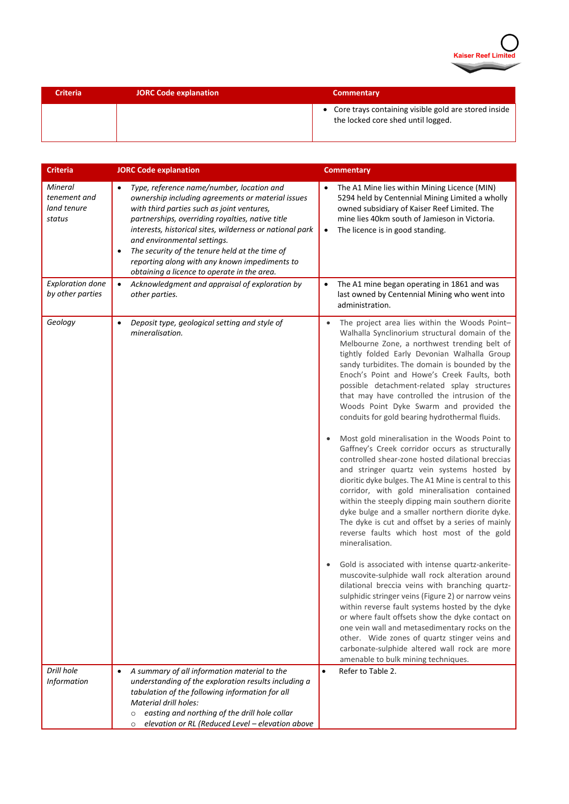

| <b>Criteria</b> | <b>JORC Code explanation</b> | <b>Commentary</b>                                                                            |
|-----------------|------------------------------|----------------------------------------------------------------------------------------------|
|                 |                              | • Core trays containing visible gold are stored inside<br>the locked core shed until logged. |

| Criteria                                         | <b>JORC Code explanation</b>                                                                                                                                                                                                                                                                                                                                                                                                                       | <b>Commentary</b>                                                                                                                                                                                                                                                                                                                                                                                                                                                                                                                                                                                                                                                                                                                                                                                                                                                                                                                                                                                                                                                                                                                                                                                                                                                                                                                                                                                                                                                                                                                                          |
|--------------------------------------------------|----------------------------------------------------------------------------------------------------------------------------------------------------------------------------------------------------------------------------------------------------------------------------------------------------------------------------------------------------------------------------------------------------------------------------------------------------|------------------------------------------------------------------------------------------------------------------------------------------------------------------------------------------------------------------------------------------------------------------------------------------------------------------------------------------------------------------------------------------------------------------------------------------------------------------------------------------------------------------------------------------------------------------------------------------------------------------------------------------------------------------------------------------------------------------------------------------------------------------------------------------------------------------------------------------------------------------------------------------------------------------------------------------------------------------------------------------------------------------------------------------------------------------------------------------------------------------------------------------------------------------------------------------------------------------------------------------------------------------------------------------------------------------------------------------------------------------------------------------------------------------------------------------------------------------------------------------------------------------------------------------------------------|
| Mineral<br>tenement and<br>land tenure<br>status | Type, reference name/number, location and<br>ownership including agreements or material issues<br>with third parties such as joint ventures,<br>partnerships, overriding royalties, native title<br>interests, historical sites, wilderness or national park<br>and environmental settings.<br>The security of the tenure held at the time of<br>٠<br>reporting along with any known impediments to<br>obtaining a licence to operate in the area. | The A1 Mine lies within Mining Licence (MIN)<br>5294 held by Centennial Mining Limited a wholly<br>owned subsidiary of Kaiser Reef Limited. The<br>mine lies 40km south of Jamieson in Victoria.<br>The licence is in good standing.<br>$\bullet$                                                                                                                                                                                                                                                                                                                                                                                                                                                                                                                                                                                                                                                                                                                                                                                                                                                                                                                                                                                                                                                                                                                                                                                                                                                                                                          |
| <b>Exploration done</b><br>by other parties      | Acknowledgment and appraisal of exploration by<br>$\bullet$<br>other parties.                                                                                                                                                                                                                                                                                                                                                                      | The A1 mine began operating in 1861 and was<br>last owned by Centennial Mining who went into<br>administration.                                                                                                                                                                                                                                                                                                                                                                                                                                                                                                                                                                                                                                                                                                                                                                                                                                                                                                                                                                                                                                                                                                                                                                                                                                                                                                                                                                                                                                            |
| Geology                                          | Deposit type, geological setting and style of<br>$\bullet$<br>mineralisation.                                                                                                                                                                                                                                                                                                                                                                      | The project area lies within the Woods Point-<br>Walhalla Synclinorium structural domain of the<br>Melbourne Zone, a northwest trending belt of<br>tightly folded Early Devonian Walhalla Group<br>sandy turbidites. The domain is bounded by the<br>Enoch's Point and Howe's Creek Faults, both<br>possible detachment-related splay structures<br>that may have controlled the intrusion of the<br>Woods Point Dyke Swarm and provided the<br>conduits for gold bearing hydrothermal fluids.<br>Most gold mineralisation in the Woods Point to<br>Gaffney's Creek corridor occurs as structurally<br>controlled shear-zone hosted dilational breccias<br>and stringer quartz vein systems hosted by<br>dioritic dyke bulges. The A1 Mine is central to this<br>corridor, with gold mineralisation contained<br>within the steeply dipping main southern diorite<br>dyke bulge and a smaller northern diorite dyke.<br>The dyke is cut and offset by a series of mainly<br>reverse faults which host most of the gold<br>mineralisation.<br>Gold is associated with intense quartz-ankerite-<br>muscovite-sulphide wall rock alteration around<br>dilational breccia veins with branching quartz-<br>sulphidic stringer veins (Figure 2) or narrow veins<br>within reverse fault systems hosted by the dyke<br>or where fault offsets show the dyke contact on<br>one vein wall and metasedimentary rocks on the<br>other. Wide zones of quartz stinger veins and<br>carbonate-sulphide altered wall rock are more<br>amenable to bulk mining techniques. |
| Drill hole                                       | A summary of all information material to the                                                                                                                                                                                                                                                                                                                                                                                                       | Refer to Table 2.<br>$\bullet$                                                                                                                                                                                                                                                                                                                                                                                                                                                                                                                                                                                                                                                                                                                                                                                                                                                                                                                                                                                                                                                                                                                                                                                                                                                                                                                                                                                                                                                                                                                             |
| Information                                      | understanding of the exploration results including a<br>tabulation of the following information for all<br>Material drill holes:<br>easting and northing of the drill hole collar<br>$\circ$<br>elevation or RL (Reduced Level - elevation above<br>$\circ$                                                                                                                                                                                        |                                                                                                                                                                                                                                                                                                                                                                                                                                                                                                                                                                                                                                                                                                                                                                                                                                                                                                                                                                                                                                                                                                                                                                                                                                                                                                                                                                                                                                                                                                                                                            |